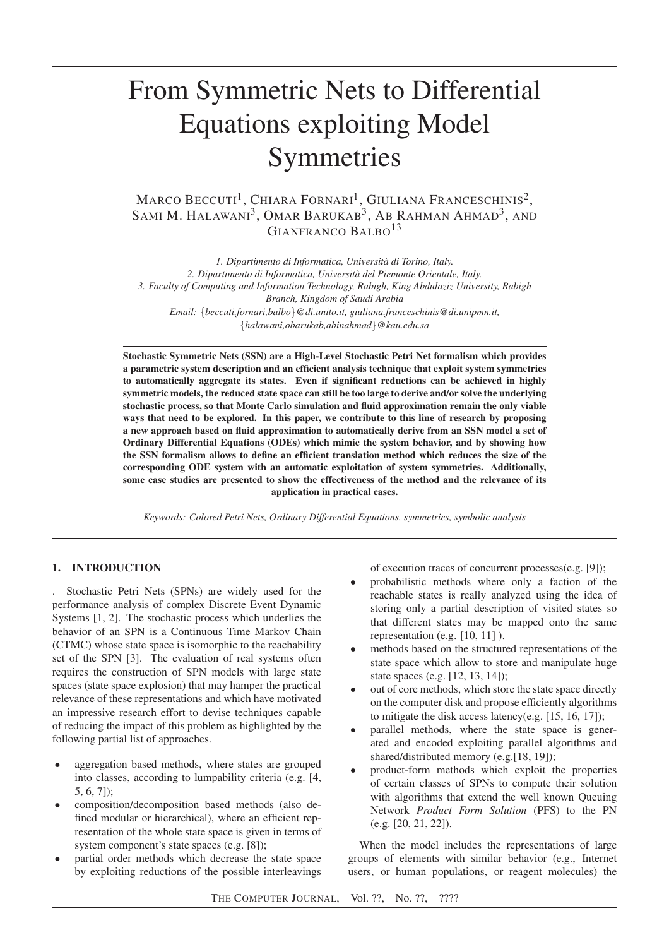# From Symmetric Nets to Differential Equations exploiting Model Symmetries

 $\rm{Marco\, \, Beccurt^1, \, Chiara\, Fornari^1, \, Gliuliana\, Franceschinis^2, }$ SAMI M. HALAWANI<sup>3</sup>, OMAR BARUKAB<sup>3</sup>, AB RAHMAN AHMAD<sup>3</sup>, and GIANERANCO BALBO<sup>13</sup>

*1. Dipartimento di Informatica, Universita di Torino, Italy. ` 2. Dipartimento di Informatica, Universita del Piemonte Orientale, Italy. ` 3. Faculty of Computing and Information Technology, Rabigh, King Abdulaziz University, Rabigh Branch, Kingdom of Saudi Arabia Email:* {*beccuti,fornari,balbo*}*@di.unito.it, giuliana.franceschinis@di.unipmn.it,* {*halawani,obarukab,abinahmad*}*@kau.edu.sa*

Stochastic Symmetric Nets (SSN) are a High-Level Stochastic Petri Net formalism which provides a parametric system description and an efficient analysis technique that exploit system symmetries to automatically aggregate its states. Even if significant reductions can be achieved in highly symmetric models, the reduced state space can still be too large to derive and/or solve the underlying stochastic process, so that Monte Carlo simulation and fluid approximation remain the only viable ways that need to be explored. In this paper, we contribute to this line of research by proposing a new approach based on fluid approximation to automatically derive from an SSN model a set of Ordinary Differential Equations (ODEs) which mimic the system behavior, and by showing how the SSN formalism allows to define an efficient translation method which reduces the size of the corresponding ODE system with an automatic exploitation of system symmetries. Additionally, some case studies are presented to show the effectiveness of the method and the relevance of its application in practical cases.

*Keywords: Colored Petri Nets, Ordinary Differential Equations, symmetries, symbolic analysis*

# 1. INTRODUCTION

. Stochastic Petri Nets (SPNs) are widely used for the performance analysis of complex Discrete Event Dynamic Systems [1, 2]. The stochastic process which underlies the behavior of an SPN is a Continuous Time Markov Chain (CTMC) whose state space is isomorphic to the reachability set of the SPN [3]. The evaluation of real systems often requires the construction of SPN models with large state spaces (state space explosion) that may hamper the practical relevance of these representations and which have motivated an impressive research effort to devise techniques capable of reducing the impact of this problem as highlighted by the following partial list of approaches.

- aggregation based methods, where states are grouped into classes, according to lumpability criteria (e.g. [4, 5, 6, 7]);
- composition/decomposition based methods (also defined modular or hierarchical), where an efficient representation of the whole state space is given in terms of system component's state spaces (e.g. [8]);
- partial order methods which decrease the state space by exploiting reductions of the possible interleavings

of execution traces of concurrent processes(e.g. [9]);

- probabilistic methods where only a faction of the reachable states is really analyzed using the idea of storing only a partial description of visited states so that different states may be mapped onto the same representation (e.g. [10, 11] ).
- methods based on the structured representations of the state space which allow to store and manipulate huge state spaces (e.g. [12, 13, 14]);
- out of core methods, which store the state space directly on the computer disk and propose efficiently algorithms to mitigate the disk access latency(e.g. [15, 16, 17]);
- parallel methods, where the state space is generated and encoded exploiting parallel algorithms and shared/distributed memory (e.g.[18, 19]);
- product-form methods which exploit the properties of certain classes of SPNs to compute their solution with algorithms that extend the well known Queuing Network *Product Form Solution* (PFS) to the PN (e.g. [20, 21, 22]).

When the model includes the representations of large groups of elements with similar behavior (e.g., Internet users, or human populations, or reagent molecules) the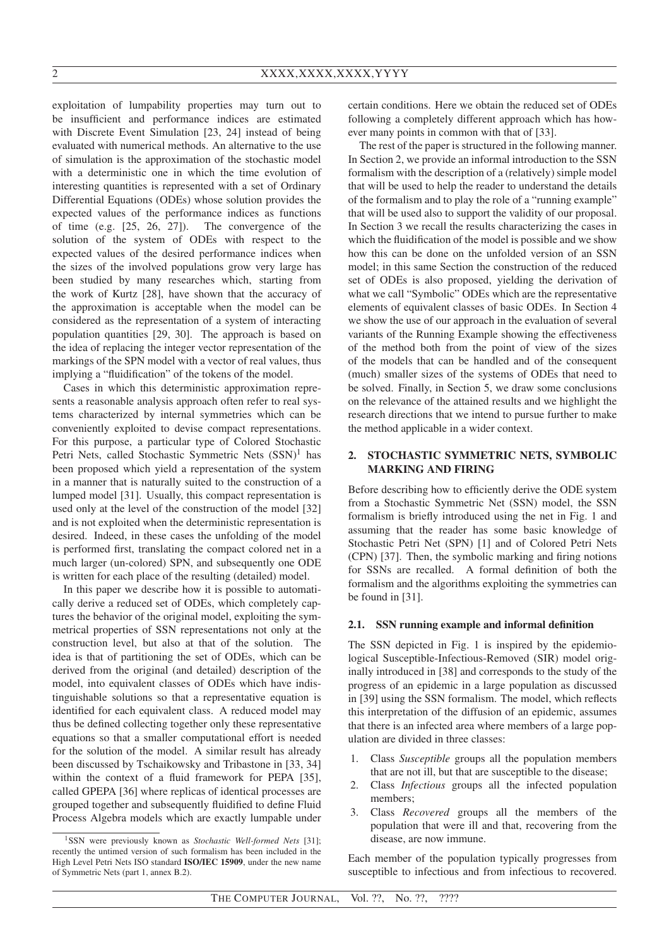exploitation of lumpability properties may turn out to be insufficient and performance indices are estimated with Discrete Event Simulation [23, 24] instead of being evaluated with numerical methods. An alternative to the use of simulation is the approximation of the stochastic model with a deterministic one in which the time evolution of interesting quantities is represented with a set of Ordinary Differential Equations (ODEs) whose solution provides the expected values of the performance indices as functions of time (e.g. [25, 26, 27]). The convergence of the solution of the system of ODEs with respect to the expected values of the desired performance indices when the sizes of the involved populations grow very large has been studied by many researches which, starting from the work of Kurtz [28], have shown that the accuracy of the approximation is acceptable when the model can be considered as the representation of a system of interacting population quantities [29, 30]. The approach is based on the idea of replacing the integer vector representation of the markings of the SPN model with a vector of real values, thus implying a "fluidification" of the tokens of the model.

Cases in which this deterministic approximation represents a reasonable analysis approach often refer to real systems characterized by internal symmetries which can be conveniently exploited to devise compact representations. For this purpose, a particular type of Colored Stochastic Petri Nets, called Stochastic Symmetric Nets  $(SSN)^1$  has been proposed which yield a representation of the system in a manner that is naturally suited to the construction of a lumped model [31]. Usually, this compact representation is used only at the level of the construction of the model [32] and is not exploited when the deterministic representation is desired. Indeed, in these cases the unfolding of the model is performed first, translating the compact colored net in a much larger (un-colored) SPN, and subsequently one ODE is written for each place of the resulting (detailed) model.

In this paper we describe how it is possible to automatically derive a reduced set of ODEs, which completely captures the behavior of the original model, exploiting the symmetrical properties of SSN representations not only at the construction level, but also at that of the solution. The idea is that of partitioning the set of ODEs, which can be derived from the original (and detailed) description of the model, into equivalent classes of ODEs which have indistinguishable solutions so that a representative equation is identified for each equivalent class. A reduced model may thus be defined collecting together only these representative equations so that a smaller computational effort is needed for the solution of the model. A similar result has already been discussed by Tschaikowsky and Tribastone in [33, 34] within the context of a fluid framework for PEPA [35], called GPEPA [36] where replicas of identical processes are grouped together and subsequently fluidified to define Fluid Process Algebra models which are exactly lumpable under certain conditions. Here we obtain the reduced set of ODEs following a completely different approach which has however many points in common with that of [33].

The rest of the paper is structured in the following manner. In Section 2, we provide an informal introduction to the SSN formalism with the description of a (relatively) simple model that will be used to help the reader to understand the details of the formalism and to play the role of a "running example" that will be used also to support the validity of our proposal. In Section 3 we recall the results characterizing the cases in which the fluidification of the model is possible and we show how this can be done on the unfolded version of an SSN model; in this same Section the construction of the reduced set of ODEs is also proposed, yielding the derivation of what we call "Symbolic" ODEs which are the representative elements of equivalent classes of basic ODEs. In Section 4 we show the use of our approach in the evaluation of several variants of the Running Example showing the effectiveness of the method both from the point of view of the sizes of the models that can be handled and of the consequent (much) smaller sizes of the systems of ODEs that need to be solved. Finally, in Section 5, we draw some conclusions on the relevance of the attained results and we highlight the research directions that we intend to pursue further to make the method applicable in a wider context.

## 2. STOCHASTIC SYMMETRIC NETS, SYMBOLIC MARKING AND FIRING

Before describing how to efficiently derive the ODE system from a Stochastic Symmetric Net (SSN) model, the SSN formalism is briefly introduced using the net in Fig. 1 and assuming that the reader has some basic knowledge of Stochastic Petri Net (SPN) [1] and of Colored Petri Nets (CPN) [37]. Then, the symbolic marking and firing notions for SSNs are recalled. A formal definition of both the formalism and the algorithms exploiting the symmetries can be found in [31].

### 2.1. SSN running example and informal definition

The SSN depicted in Fig. 1 is inspired by the epidemiological Susceptible-Infectious-Removed (SIR) model originally introduced in [38] and corresponds to the study of the progress of an epidemic in a large population as discussed in [39] using the SSN formalism. The model, which reflects this interpretation of the diffusion of an epidemic, assumes that there is an infected area where members of a large population are divided in three classes:

- 1. Class *Susceptible* groups all the population members that are not ill, but that are susceptible to the disease;
- 2. Class *Infectious* groups all the infected population members;
- 3. Class *Recovered* groups all the members of the population that were ill and that, recovering from the disease, are now immune.

Each member of the population typically progresses from susceptible to infectious and from infectious to recovered.

<sup>&</sup>lt;sup>1</sup>SSN were previously known as *Stochastic Well-formed Nets* [31]: recently the untimed version of such formalism has been included in the High Level Petri Nets ISO standard ISO/IEC 15909, under the new name of Symmetric Nets (part 1, annex B.2).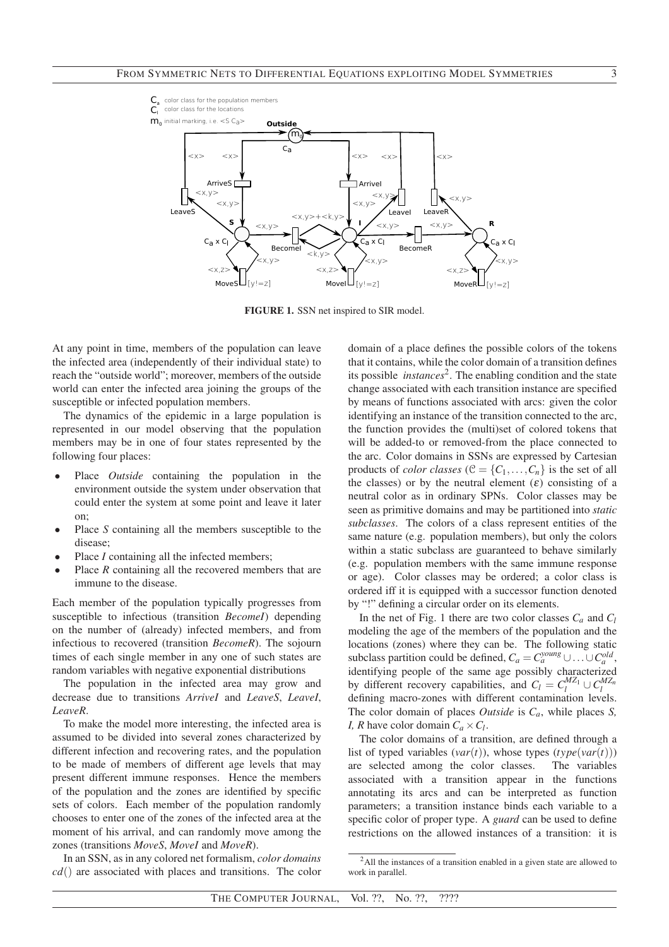

FIGURE 1. SSN net inspired to SIR model.

At any point in time, members of the population can leave the infected area (independently of their individual state) to reach the "outside world"; moreover, members of the outside world can enter the infected area joining the groups of the susceptible or infected population members.

The dynamics of the epidemic in a large population is represented in our model observing that the population members may be in one of four states represented by the following four places:

- Place *Outside* containing the population in the environment outside the system under observation that could enter the system at some point and leave it later on;
- Place *S* containing all the members susceptible to the disease;
- Place *I* containing all the infected members;
- Place *R* containing all the recovered members that are immune to the disease.

Each member of the population typically progresses from susceptible to infectious (transition *BecomeI*) depending on the number of (already) infected members, and from infectious to recovered (transition *BecomeR*). The sojourn times of each single member in any one of such states are random variables with negative exponential distributions

The population in the infected area may grow and decrease due to transitions *ArriveI* and *LeaveS*, *LeaveI*, *LeaveR*.

To make the model more interesting, the infected area is assumed to be divided into several zones characterized by different infection and recovering rates, and the population to be made of members of different age levels that may present different immune responses. Hence the members of the population and the zones are identified by specific sets of colors. Each member of the population randomly chooses to enter one of the zones of the infected area at the moment of his arrival, and can randomly move among the zones (transitions *MoveS*, *MoveI* and *MoveR*).

In an SSN, as in any colored net formalism, *color domains cd*() are associated with places and transitions. The color

domain of a place defines the possible colors of the tokens that it contains, while the color domain of a transition defines its possible *instances*<sup>2</sup>. The enabling condition and the state change associated with each transition instance are specified by means of functions associated with arcs: given the color identifying an instance of the transition connected to the arc, the function provides the (multi)set of colored tokens that will be added-to or removed-from the place connected to the arc. Color domains in SSNs are expressed by Cartesian products of *color classes* ( $C = \{C_1, \ldots, C_n\}$  is the set of all the classes) or by the neutral element  $(\varepsilon)$  consisting of a neutral color as in ordinary SPNs. Color classes may be seen as primitive domains and may be partitioned into *static subclasses*. The colors of a class represent entities of the same nature (e.g. population members), but only the colors within a static subclass are guaranteed to behave similarly (e.g. population members with the same immune response or age). Color classes may be ordered; a color class is ordered iff it is equipped with a successor function denoted by "!" defining a circular order on its elements.

In the net of Fig. 1 there are two color classes  $C_a$  and  $C_l$ modeling the age of the members of the population and the locations (zones) where they can be. The following static subclass partition could be defined,  $C_a = C_a^{young} \cup ... \cup C_a^{old}$ , identifying people of the same age possibly characterized by different recovery capabilities, and  $C_l = C_l^{MZ_1} \cup C_l^{MZ_n}$ defining macro-zones with different contamination levels. The color domain of places *Outside* is *Ca*, while places *S, I*, *R* have color domain  $C_a \times C_l$ .

The color domains of a transition, are defined through a list of typed variables  $(var(t))$ , whose types  $(type(var(t)))$ are selected among the color classes. The variables associated with a transition appear in the functions annotating its arcs and can be interpreted as function parameters; a transition instance binds each variable to a specific color of proper type. A *guard* can be used to define restrictions on the allowed instances of a transition: it is

<sup>2</sup>All the instances of a transition enabled in a given state are allowed to work in parallel.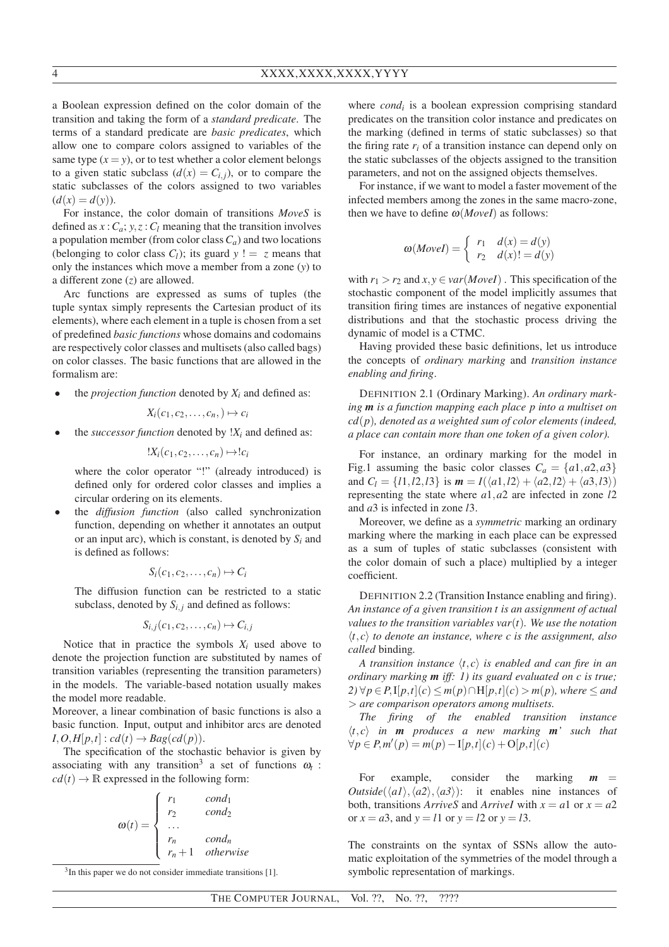a Boolean expression defined on the color domain of the transition and taking the form of a *standard predicate*. The terms of a standard predicate are *basic predicates*, which allow one to compare colors assigned to variables of the same type  $(x = y)$ , or to test whether a color element belongs to a given static subclass  $(d(x)) = C_{i,j}$ , or to compare the static subclasses of the colors assigned to two variables  $(d(x) = d(y)).$ 

For instance, the color domain of transitions *MoveS* is defined as  $x: C_a$ ;  $y, z: C_l$  meaning that the transition involves a population member (from color class  $C_a$ ) and two locations (belonging to color class  $C_l$ ); its guard  $y = z$  means that only the instances which move a member from a zone (*y*) to a different zone (*z*) are allowed.

Arc functions are expressed as sums of tuples (the tuple syntax simply represents the Cartesian product of its elements), where each element in a tuple is chosen from a set of predefined *basic functions* whose domains and codomains are respectively color classes and multisets (also called bags) on color classes. The basic functions that are allowed in the formalism are:

the *projection function* denoted by  $X_i$  and defined as:

$$
X_i(c_1,c_2,\ldots,c_n,\rightarrow \mapsto c_i
$$

the *successor function* denoted by  $!X_i$  and defined as:

 $!X_i(c_1, c_2, \ldots, c_n) \mapsto !c_i$ 

where the color operator "!" (already introduced) is defined only for ordered color classes and implies a circular ordering on its elements.

• the *diffusion function* (also called synchronization function, depending on whether it annotates an output or an input arc), which is constant, is denoted by  $S_i$  and is defined as follows:

$$
S_i(c_1, c_2, \ldots, c_n) \mapsto C_i
$$

The diffusion function can be restricted to a static subclass, denoted by  $S_{i,j}$  and defined as follows:

$$
S_{i,j}(c_1,c_2,\ldots,c_n)\mapsto C_{i,j}
$$

Notice that in practice the symbols  $X_i$  used above to denote the projection function are substituted by names of transition variables (representing the transition parameters) in the models. The variable-based notation usually makes the model more readable.

Moreover, a linear combination of basic functions is also a basic function. Input, output and inhibitor arcs are denoted  $I, O, H[p, t]$  :  $cd(t) \rightarrow Bag(cd(p))$ .

The specification of the stochastic behavior is given by associating with any transition<sup>3</sup> a set of functions  $\omega_t$ :  $cd(t) \rightarrow \mathbb{R}$  expressed in the following form:

$$
\omega(t) = \begin{cases} r_1 & cond_1 \\ r_2 & cond_2 \\ \dots & r_n & cond_n \\ r_n + 1 & otherwise \end{cases}
$$

 $3$ In this paper we do not consider immediate transitions [1].

where *cond<sup>i</sup>* is a boolean expression comprising standard predicates on the transition color instance and predicates on the marking (defined in terms of static subclasses) so that the firing rate  $r_i$  of a transition instance can depend only on the static subclasses of the objects assigned to the transition parameters, and not on the assigned objects themselves.

For instance, if we want to model a faster movement of the infected members among the zones in the same macro-zone, then we have to define  $\omega(MoveI)$  as follows:

$$
\omega(MoveI) = \begin{cases} r_1 & d(x) = d(y) \\ r_2 & d(x)! = d(y) \end{cases}
$$

with  $r_1 > r_2$  and  $x, y \in \text{var}(M \text{ over } I)$ . This specification of the stochastic component of the model implicitly assumes that transition firing times are instances of negative exponential distributions and that the stochastic process driving the dynamic of model is a CTMC.

Having provided these basic definitions, let us introduce the concepts of *ordinary marking* and *transition instance enabling and firing*.

DEFINITION 2.1 (Ordinary Marking). *An ordinary marking m is a function mapping each place p into a multiset on cd*(*p*)*, denoted as a weighted sum of color elements (indeed, a place can contain more than one token of a given color).*

For instance, an ordinary marking for the model in Fig.1 assuming the basic color classes  $C_a = \{a1, a2, a3\}$ and  $C_l = \{l1, l2, l3\}$  is  $m = I(\langle a1, l2 \rangle + \langle a2, l2 \rangle + \langle a3, l3 \rangle)$ representing the state where *a*1,*a*2 are infected in zone *l*2 and *a*3 is infected in zone *l*3.

Moreover, we define as a *symmetric* marking an ordinary marking where the marking in each place can be expressed as a sum of tuples of static subclasses (consistent with the color domain of such a place) multiplied by a integer coefficient.

DEFINITION 2.2 (Transition Instance enabling and firing). *An instance of a given transition t is an assignment of actual values to the transition variables var*(*t*)*. We use the notation*  $\langle t, c \rangle$  *to denote an instance, where c is the assignment, also called* binding*.*

*A transition instance*  $\langle t, c \rangle$  *is enabled and can fire in an ordinary marking m iff: 1) its guard evaluated on c is true; 2*) ∀ $p ∈ P$ , I[ $p$ ,*t*](*c*) ≤ *m*( $p$ )∩H[ $p$ ,*t*](*c*) > *m*( $p$ )*, where* ≤ *and* > *are comparison operators among multisets.*

*The firing of the enabled transition instance*  $\langle t, c \rangle$  *in* **m** *produces a new marking* **m**<sup>*'*</sup> such that  $∀p ∈ P, m'(p) = m(p) - I[p, t](c) + O[p, t](c)$ 

For example, consider the marking  $m$ *Outside*( $\langle a1 \rangle$ , $\langle a2 \rangle$ , $\langle a3 \rangle$ ): it enables nine instances of both, transitions *ArriveS* and *ArriveI* with  $x = a1$  or  $x = a2$ or  $x = a3$ , and  $y = l1$  or  $y = l2$  or  $y = l3$ .

The constraints on the syntax of SSNs allow the automatic exploitation of the symmetries of the model through a symbolic representation of markings.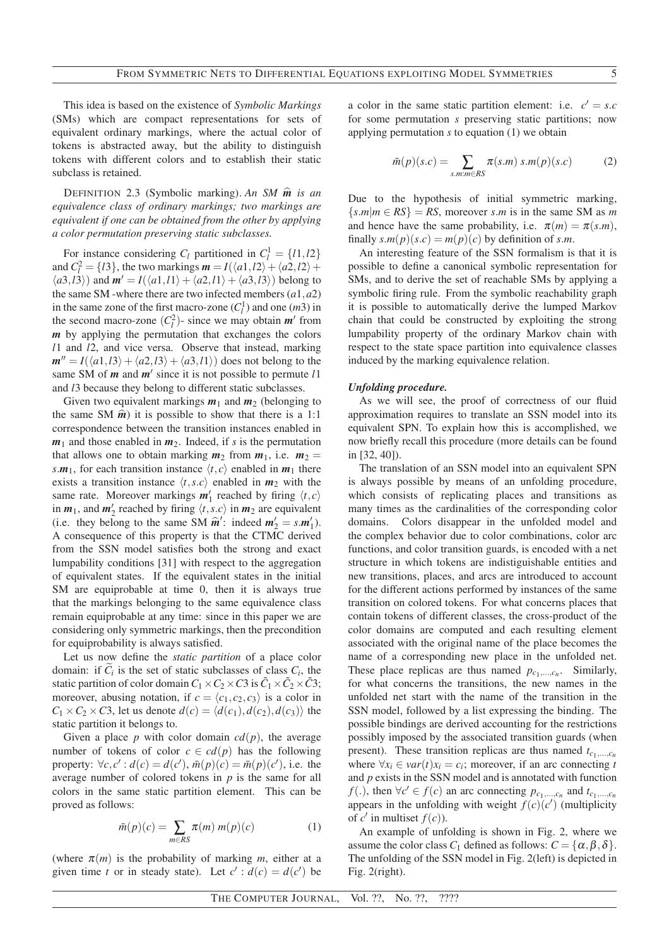This idea is based on the existence of *Symbolic Markings* (SMs) which are compact representations for sets of equivalent ordinary markings, where the actual color of tokens is abstracted away, but the ability to distinguish tokens with different colors and to establish their static subclass is retained.

<sup>D</sup>EFINITION 2.3 (Symbolic marking). *An SM <sup>m</sup>*<sup>b</sup> *is an equivalence class of ordinary markings; two markings are equivalent if one can be obtained from the other by applying a color permutation preserving static subclasses.*

For instance considering  $C_l$  partitioned in  $C_l^1 = \{l1, l2\}$ and  $C_l^2 = \{l3\}$ , the two markings  $m = I(\langle a1, l2 \rangle + \langle a2, l2 \rangle + \langle a2, l2 \rangle)$  $\langle a3,13 \rangle$  and  $m' = I(\langle a1,11 \rangle + \langle a2,11 \rangle + \langle a3,13 \rangle)$  belong to the same SM -where there are two infected members (*a*1,*a*2) in the same zone of the first macro-zone  $(C_l^1)$  and one  $(m3)$  in the second macro-zone  $(C_l^2)$ - since we may obtain  $m'$  from *m* by applying the permutation that exchanges the colors *l*1 and *l*2, and vice versa. Observe that instead, marking  $m'' = I(\langle a_1, l_3 \rangle + \langle a_2, l_3 \rangle + \langle a_3, l_1 \rangle)$  does not belong to the same SM of *m* and *m*′ since it is not possible to permute *l*1 and *l*3 because they belong to different static subclasses.

Given two equivalent markings  $m_1$  and  $m_2$  (belonging to the same SM  $\hat{m}$ ) it is possible to show that there is a 1:1 correspondence between the transition instances enabled in  $m_1$  and those enabled in  $m_2$ . Indeed, if *s* is the permutation that allows one to obtain marking  $m_2$  from  $m_1$ , i.e.  $m_2 =$ *s*.*m*<sub>1</sub>, for each transition instance  $\langle t, c \rangle$  enabled in *m*<sub>1</sub> there exists a transition instance  $\langle t, s, c \rangle$  enabled in  $m_2$  with the same rate. Moreover markings  $m'_1$  reached by firing  $\langle t, c \rangle$ in  $m_1$ , and  $m'_2$  reached by firing  $\langle t, s, c \rangle$  in  $m_2$  are equivalent (i.e. they belong to the same SM  $\hat{\mathbf{m}}'$ : indeed  $\mathbf{m}'_2 = s.\mathbf{m}'_1$ ). A consequence of this property is that the CTMC derived from the SSN model satisfies both the strong and exact lumpability conditions [31] with respect to the aggregation of equivalent states. If the equivalent states in the initial SM are equiprobable at time 0, then it is always true that the markings belonging to the same equivalence class remain equiprobable at any time: since in this paper we are considering only symmetric markings, then the precondition for equiprobability is always satisfied.

Let us now define the *static partition* of a place color domain: if  $C_i$  is the set of static subclasses of class  $C_i$ , the static partition of color domain  $C_1 \times C_2 \times C_3$  is  $\tilde{C}_1 \times \tilde{C}_2 \times \tilde{C}_3$ ; moreover, abusing notation, if  $c = \langle c_1, c_2, c_3 \rangle$  is a color in  $C_1 \times C_2 \times C_3$ , let us denote  $d(c) = \langle d(c_1), d(c_2), d(c_3) \rangle$  the static partition it belongs to.

Given a place *p* with color domain  $cd(p)$ , the average number of tokens of color  $c \in cd(p)$  has the following property:  $\forall c, c' : d(c) = d(c'), \overline{m}(p)(c) = \overline{m}(p)(c'),$  i.e. the average number of colored tokens in *p* is the same for all colors in the same static partition element. This can be proved as follows:

$$
\bar{m}(p)(c) = \sum_{m \in RS} \pi(m) m(p)(c) \tag{1}
$$

(where  $\pi(m)$  is the probability of marking *m*, either at a given time *t* or in steady state). Let  $c' : d(c) = d(c')$  be

a color in the same static partition element: i.e.  $c' = s.c$ for some permutation *s* preserving static partitions; now applying permutation *s* to equation (1) we obtain

$$
\bar{m}(p)(s.c) = \sum_{s.m:m \in RS} \pi(s.m) \, s.m(p)(s.c) \tag{2}
$$

Due to the hypothesis of initial symmetric marking,  ${s.m|m \in RS}$  = *RS*, moreover *s.m* is in the same SM as *m* and hence have the same probability, i.e.  $\pi(m) = \pi(s.m)$ , finally  $s.m(p)(s.c) = m(p)(c)$  by definition of  $s.m$ .

An interesting feature of the SSN formalism is that it is possible to define a canonical symbolic representation for SMs, and to derive the set of reachable SMs by applying a symbolic firing rule. From the symbolic reachability graph it is possible to automatically derive the lumped Markov chain that could be constructed by exploiting the strong lumpability property of the ordinary Markov chain with respect to the state space partition into equivalence classes induced by the marking equivalence relation.

#### *Unfolding procedure.*

As we will see, the proof of correctness of our fluid approximation requires to translate an SSN model into its equivalent SPN. To explain how this is accomplished, we now briefly recall this procedure (more details can be found in [32, 40]).

The translation of an SSN model into an equivalent SPN is always possible by means of an unfolding procedure, which consists of replicating places and transitions as many times as the cardinalities of the corresponding color domains. Colors disappear in the unfolded model and the complex behavior due to color combinations, color arc functions, and color transition guards, is encoded with a net structure in which tokens are indistiguishable entities and new transitions, places, and arcs are introduced to account for the different actions performed by instances of the same transition on colored tokens. For what concerns places that contain tokens of different classes, the cross-product of the color domains are computed and each resulting element associated with the original name of the place becomes the name of a corresponding new place in the unfolded net. These place replicas are thus named  $p_{c_1,\dots,c_n}$ . Similarly, for what concerns the transitions, the new names in the unfolded net start with the name of the transition in the SSN model, followed by a list expressing the binding. The possible bindings are derived accounting for the restrictions possibly imposed by the associated transition guards (when present). These transition replicas are thus named  $t_{c_1,\ldots,c_n}$ where  $\forall x_i \in \text{var}(t) x_i = c_i$ ; moreover, if an arc connecting *t* and *p* exists in the SSN model and is annotated with function *f*(.), then  $\forall c' \in f(c)$  an arc connecting  $p_{c_1,...,c_n}$  and  $t_{c_1,...,c_n}$ appears in the unfolding with weight  $f(c)(c')$  (multiplicity of  $c'$  in multiset  $f(c)$ ).

An example of unfolding is shown in Fig. 2, where we assume the color class  $C_1$  defined as follows:  $C = {\alpha, \beta, \delta}$ . The unfolding of the SSN model in Fig. 2(left) is depicted in Fig. 2(right).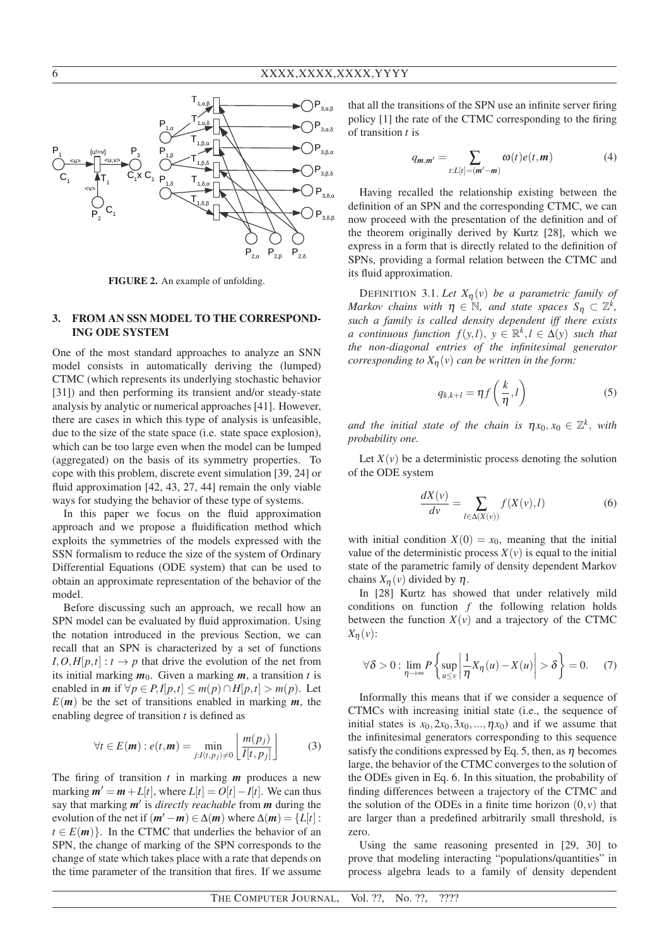

FIGURE 2. An example of unfolding.

## 3. FROM AN SSN MODEL TO THE CORRESPOND-ING ODE SYSTEM

One of the most standard approaches to analyze an SNN model consists in automatically deriving the (lumped) CTMC (which represents its underlying stochastic behavior [31]) and then performing its transient and/or steady-state analysis by analytic or numerical approaches [41]. However, there are cases in which this type of analysis is unfeasible, due to the size of the state space (i.e. state space explosion), which can be too large even when the model can be lumped (aggregated) on the basis of its symmetry properties. To cope with this problem, discrete event simulation [39, 24] or fluid approximation [42, 43, 27, 44] remain the only viable ways for studying the behavior of these type of systems.

In this paper we focus on the fluid approximation approach and we propose a fluidification method which exploits the symmetries of the models expressed with the SSN formalism to reduce the size of the system of Ordinary Differential Equations (ODE system) that can be used to obtain an approximate representation of the behavior of the model.

Before discussing such an approach, we recall how an SPN model can be evaluated by fluid approximation. Using the notation introduced in the previous Section, we can recall that an SPN is characterized by a set of functions  $I, O, H[p, t] : t \rightarrow p$  that drive the evolution of the net from its initial marking  $m_0$ . Given a marking  $m$ , a transition t is enabled in *m* if  $\forall p \in P, I[p, t] \leq m(p) \cap H[p, t] > m(p)$ . Let  $E(m)$  be the set of transitions enabled in marking  $m$ , the enabling degree of transition *t* is defined as

$$
\forall t \in E(\mathbf{m}) : e(t, \mathbf{m}) = \min_{j: I(t, p_j) \neq 0} \left\lfloor \frac{m(p_j)}{I[t, p_j]} \right\rfloor \tag{3}
$$

The firing of transition *t* in marking *m* produces a new marking  $m' = m + L[t]$ , where  $L[t] = O[t] - I[t]$ . We can thus say that marking *m*′ is *directly reachable* from *m* during the evolution of the net if  $(m' – m) \in \Delta(m)$  where  $\Delta(m) = \{L[t]:$  $t \in E(m)$ . In the CTMC that underlies the behavior of an SPN, the change of marking of the SPN corresponds to the change of state which takes place with a rate that depends on the time parameter of the transition that fires. If we assume that all the transitions of the SPN use an infinite server firing policy [1] the rate of the CTMC corresponding to the firing of transition *t* is

$$
q_{m,m'} = \sum_{t:L[t] = (m'-m)} \omega(t)e(t,m)
$$
 (4)

Having recalled the relationship existing between the definition of an SPN and the corresponding CTMC, we can now proceed with the presentation of the definition and of the theorem originally derived by Kurtz [28], which we express in a form that is directly related to the definition of SPNs, providing a formal relation between the CTMC and its fluid approximation.

DEFINITION 3.1. Let  $X_{\eta}(v)$  be a parametric family of *Markov chains with*  $\eta \in \mathbb{N}$ *, and state spaces*  $S_{\eta} \subset \mathbb{Z}^k$ *, such a family is called density dependent iff there exists a* continuous function  $f(y, l)$ ,  $y \in \mathbb{R}^k, l \in \Delta(y)$  such that *the non-diagonal entries of the infinitesimal generator corresponding to*  $X_n(v)$  *can be written in the form:* 

$$
q_{k,k+l} = \eta f\left(\frac{k}{\eta}, l\right) \tag{5}
$$

*and the initial state of the chain is*  $\eta x_0, x_0 \in \mathbb{Z}^k$ , with *probability one.*

Let  $X(v)$  be a deterministic process denoting the solution of the ODE system

$$
\frac{dX(v)}{dv} = \sum_{l \in \Delta(X(v))} f(X(v), l) \tag{6}
$$

with initial condition  $X(0) = x_0$ , meaning that the initial value of the deterministic process  $X(v)$  is equal to the initial state of the parametric family of density dependent Markov chains  $X_n(v)$  divided by  $\eta$ .

In [28] Kurtz has showed that under relatively mild conditions on function *f* the following relation holds between the function  $X(v)$  and a trajectory of the CTMC *X*η(*v*):

$$
\forall \delta > 0 : \lim_{\eta \to \infty} P\left\{ \sup_{u \le v} \left| \frac{1}{\eta} X_{\eta}(u) - X(u) \right| > \delta \right\} = 0. \tag{7}
$$

Informally this means that if we consider a sequence of CTMCs with increasing initial state (i.e., the sequence of initial states is  $x_0$ ,  $2x_0$ ,  $3x_0$ , ...,  $\eta x_0$ ) and if we assume that the infinitesimal generators corresponding to this sequence satisfy the conditions expressed by Eq. 5, then, as  $\eta$  becomes large, the behavior of the CTMC converges to the solution of the ODEs given in Eq. 6. In this situation, the probability of finding differences between a trajectory of the CTMC and the solution of the ODEs in a finite time horizon  $(0, v)$  that are larger than a predefined arbitrarily small threshold, is zero.

Using the same reasoning presented in [29, 30] to prove that modeling interacting "populations/quantities" in process algebra leads to a family of density dependent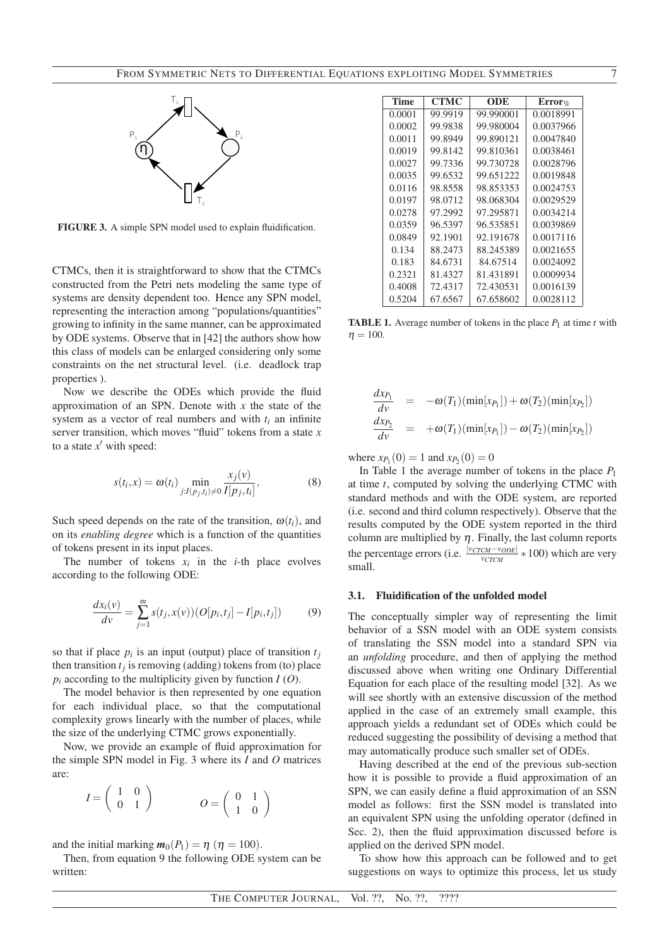

FIGURE 3. A simple SPN model used to explain fluidification.

CTMCs, then it is straightforward to show that the CTMCs constructed from the Petri nets modeling the same type of systems are density dependent too. Hence any SPN model, representing the interaction among "populations/quantities" growing to infinity in the same manner, can be approximated by ODE systems. Observe that in [42] the authors show how this class of models can be enlarged considering only some constraints on the net structural level. (i.e. deadlock trap properties ).

Now we describe the ODEs which provide the fluid approximation of an SPN. Denote with *x* the state of the system as a vector of real numbers and with  $t_i$  an infinite server transition, which moves "fluid" tokens from a state *x* to a state  $x'$  with speed:

$$
s(t_i, x) = \omega(t_i) \min_{j: I(p_j, t_i) \neq 0} \frac{x_j(v)}{I[p_j, t_i]},
$$
\n(8)

Such speed depends on the rate of the transition,  $\omega(t_i)$ , and on its *enabling degree* which is a function of the quantities of tokens present in its input places.

The number of tokens  $x_i$  in the *i*-th place evolves according to the following ODE:

$$
\frac{dx_i(v)}{dv} = \sum_{j=1}^m s(t_j, x(v))(O[p_i, t_j] - I[p_i, t_j])
$$
(9)

so that if place  $p_i$  is an input (output) place of transition  $t_j$ then transition  $t_j$  is removing (adding) tokens from (to) place  $p_i$  according to the multiplicity given by function  $I(0)$ .

The model behavior is then represented by one equation for each individual place, so that the computational complexity grows linearly with the number of places, while the size of the underlying CTMC grows exponentially.

Now, we provide an example of fluid approximation for the simple SPN model in Fig. 3 where its *I* and *O* matrices are:

$$
I = \left(\begin{array}{cc} 1 & 0 \\ 0 & 1 \end{array}\right) \qquad \qquad O = \left(\begin{array}{cc} 0 & 1 \\ 1 & 0 \end{array}\right)
$$

and the initial marking  $m_0(P_1) = \eta$  ( $\eta = 100$ ).

Then, from equation 9 the following ODE system can be written:

| <b>Time</b> | <b>CTMC</b> | ODE       | $Error_{\%}$ |
|-------------|-------------|-----------|--------------|
| 0.0001      | 99.9919     | 99.990001 | 0.0018991    |
| 0.0002      | 99.9838     | 99.980004 | 0.0037966    |
| 0.0011      | 99.8949     | 99.890121 | 0.0047840    |
| 0.0019      | 99.8142     | 99.810361 | 0.0038461    |
| 0.0027      | 99.7336     | 99.730728 | 0.0028796    |
| 0.0035      | 99.6532     | 99.651222 | 0.0019848    |
| 0.0116      | 98.8558     | 98.853353 | 0.0024753    |
| 0.0197      | 98.0712     | 98.068304 | 0.0029529    |
| 0.0278      | 97.2992     | 97.295871 | 0.0034214    |
| 0.0359      | 96.5397     | 96.535851 | 0.0039869    |
| 0.0849      | 92.1901     | 92.191678 | 0.0017116    |
| 0.134       | 88.2473     | 88.245389 | 0.0021655    |
| 0.183       | 84.6731     | 84.67514  | 0.0024092    |
| 0.2321      | 81.4327     | 81.431891 | 0.0009934    |
| 0.4008      | 72.4317     | 72.430531 | 0.0016139    |
| 0.5204      | 67.6567     | 67.658602 | 0.0028112    |

**TABLE 1.** Average number of tokens in the place  $P_1$  at time  $t$  with  $n = 100$ .

$$
\frac{dx_{P_1}}{dv} = -\omega(T_1)(\min[x_{P_1}]) + \omega(T_2)(\min[x_{P_2}])
$$
\n
$$
\frac{dx_{P_2}}{dv} = +\omega(T_1)(\min[x_{P_1}]) - \omega(T_2)(\min[x_{P_2}])
$$

where  $x_{P_1}(0) = 1$  and  $x_{P_2}(0) = 0$ 

In Table 1 the average number of tokens in the place *P*<sup>1</sup> at time *t*, computed by solving the underlying CTMC with standard methods and with the ODE system, are reported (i.e. second and third column respectively). Observe that the results computed by the ODE system reported in the third column are multiplied by  $\eta$ . Finally, the last column reports the percentage errors (i.e.  $\frac{|v_{CTCM}-v_{ODE}|}{v_{CTCM}} * 100$ ) which are very *vCTCM* small.

#### 3.1. Fluidification of the unfolded model

The conceptually simpler way of representing the limit behavior of a SSN model with an ODE system consists of translating the SSN model into a standard SPN via an *unfolding* procedure, and then of applying the method discussed above when writing one Ordinary Differential Equation for each place of the resulting model [32]. As we will see shortly with an extensive discussion of the method applied in the case of an extremely small example, this approach yields a redundant set of ODEs which could be reduced suggesting the possibility of devising a method that may automatically produce such smaller set of ODEs.

Having described at the end of the previous sub-section how it is possible to provide a fluid approximation of an SPN, we can easily define a fluid approximation of an SSN model as follows: first the SSN model is translated into an equivalent SPN using the unfolding operator (defined in Sec. 2), then the fluid approximation discussed before is applied on the derived SPN model.

To show how this approach can be followed and to get suggestions on ways to optimize this process, let us study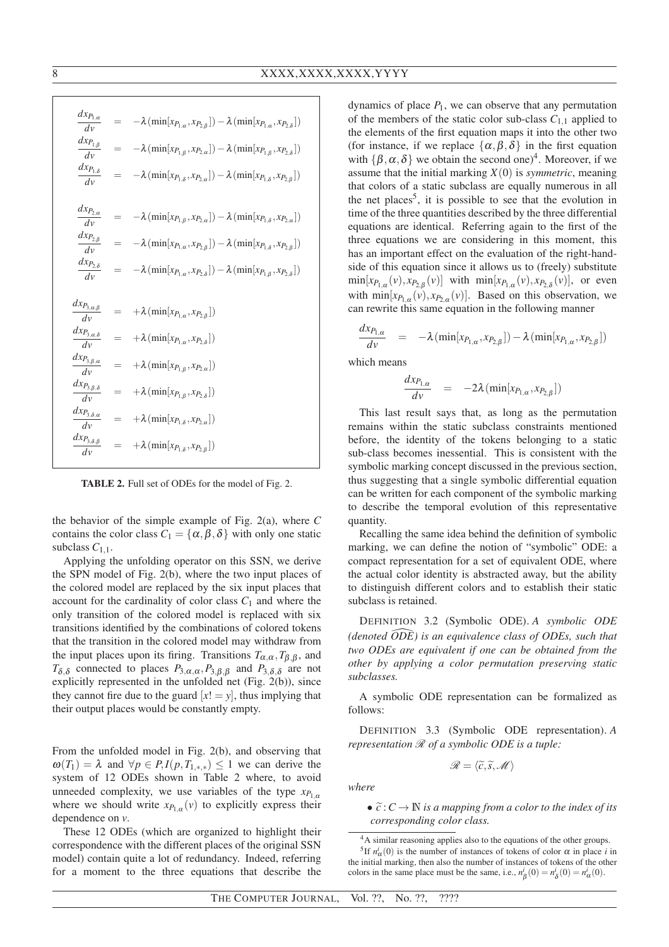| $dx_{P_{1,\alpha}}$<br>dv                                                 |     | $-\lambda(\min[x_{P_{1,\alpha}}, x_{P_{2,\beta}}]) - \lambda(\min[x_{P_{1,\alpha}}, x_{P_{2,\delta}}])$ |
|---------------------------------------------------------------------------|-----|---------------------------------------------------------------------------------------------------------|
| $dx_{P_{1,\underline{\beta}}}$<br>$d\nu$                                  | $=$ | $-\lambda(\min[x_{P_{1,\beta}}, x_{P_{2,\alpha}}]) - \lambda(\min[x_{P_{1,\beta}}, x_{P_{2,\delta}}])$  |
| $dx_{{\cal P}_{1,\delta}}$<br>$d\nu$                                      |     | $-\lambda(\min[x_{P_{1,\delta}}, x_{P_{2,\alpha}}]) - \lambda(\min[x_{P_{1,\delta}}, x_{P_{2,\beta}}])$ |
|                                                                           |     |                                                                                                         |
| $dx_{P_{2,\alpha}}$<br>$d\nu$                                             |     | $-\lambda(\min[x_{P_{1,\beta}}, x_{P_{2,\alpha}}]) - \lambda(\min[x_{P_{1,\delta}}, x_{P_{2,\alpha}}])$ |
| $dx_{P_{2,\beta}}$<br>$d\nu$                                              | $=$ | $-\lambda(\min[x_{P_{1,\alpha}}, x_{P_{2,\beta}}]) - \lambda(\min[x_{P_{1,\delta}}, x_{P_{2,\beta}}])$  |
| $dx_{P_{2,\delta}}$<br>$d\nu$                                             |     | $-\lambda(\min[x_{P_{1,\alpha}}, x_{P_{2,\delta}}]) - \lambda(\min[x_{P_{1,\beta}}, x_{P_{2,\delta}}])$ |
|                                                                           |     |                                                                                                         |
|                                                                           |     |                                                                                                         |
| $dx_{P_{3, \alpha, \underline{\beta}}}$<br>dv                             |     | $+\lambda\left(\min[x_{P_{1,\alpha}},x_{P_{2,\beta}}]\right)$                                           |
| $dx_{P_{3,\alpha,\delta}}$<br>dv                                          | $=$ | $+\lambda(\min[x_{P_{1,\alpha}},x_{P_{2,\delta}}])$                                                     |
| $dx_{P_{3,\beta,\alpha}}$<br>$d\nu$                                       | $=$ | $+\lambda\left(\min[x_{P_{1,\beta}},x_{P_{2,\alpha}}]\right)$                                           |
| $dx_{P_{3,\beta,\delta}}$<br>$d\nu$                                       | $=$ | $+\lambda\left(\min[x_{P_{1,\beta}},x_{P_{2,\delta}}]\right)$                                           |
| $dx_{P_{3,\delta,\alpha}}$<br>dv<br>$dx_{P_{3,\delta,\underline{\beta}}}$ | $=$ | $+\lambda \left( \min [x_{P_{1,\delta}}, x_{P_{2,\alpha}}]\right)$                                      |

TABLE 2. Full set of ODEs for the model of Fig. 2.

the behavior of the simple example of Fig. 2(a), where *C* contains the color class  $C_1 = {\alpha, \beta, \delta}$  with only one static subclass  $C_{1,1}$ .

Applying the unfolding operator on this SSN, we derive the SPN model of Fig. 2(b), where the two input places of the colored model are replaced by the six input places that account for the cardinality of color class  $C_1$  and where the only transition of the colored model is replaced with six transitions identified by the combinations of colored tokens that the transition in the colored model may withdraw from the input places upon its firing. Transitions  $T_{\alpha,\alpha}, T_{\beta,\beta}$ , and *T*<sub>δ,δ</sub> connected to places  $P_{3,\alpha,\alpha}, P_{3,\beta,\beta}$  and  $P_{3,\delta,\delta}$  are not explicitly represented in the unfolded net (Fig. 2(b)), since they cannot fire due to the guard  $[x! = y]$ , thus implying that their output places would be constantly empty.

From the unfolded model in Fig. 2(b), and observing that  $\omega(T_1) = \lambda$  and  $\forall p \in P, I(p, T_{1,*,*}) \leq 1$  we can derive the system of 12 ODEs shown in Table 2 where, to avoid unneeded complexity, we use variables of the type  $x_{P_{1,\alpha}}$ where we should write  $x_{P_{1,\alpha}}(v)$  to explicitly express their dependence on *v*.

These 12 ODEs (which are organized to highlight their correspondence with the different places of the original SSN model) contain quite a lot of redundancy. Indeed, referring for a moment to the three equations that describe the

dynamics of place  $P_1$ , we can observe that any permutation of the members of the static color sub-class  $C_{1,1}$  applied to the elements of the first equation maps it into the other two (for instance, if we replace  $\{\alpha, \beta, \delta\}$  in the first equation with  $\{\beta, \alpha, \delta\}$  we obtain the second one)<sup>4</sup>. Moreover, if we assume that the initial marking  $X(0)$  is *symmetric*, meaning that colors of a static subclass are equally numerous in all the net places<sup>5</sup>, it is possible to see that the evolution in time of the three quantities described by the three differential equations are identical. Referring again to the first of the three equations we are considering in this moment, this has an important effect on the evaluation of the right-handside of this equation since it allows us to (freely) substitute  $\min[x_{P_{1,\alpha}}(v), x_{P_{2,\beta}}(v)]$  with  $\min[x_{P_{1,\alpha}}(v), x_{P_{2,\delta}}(v)]$ , or even with  $\min[x_{P_{1,\alpha}}(v), x_{P_{2,\alpha}}(v)]$ . Based on this observation, we can rewrite this same equation in the following manner

$$
\frac{dx_{P_{1,\alpha}}}{dv} = -\lambda(\min[x_{P_{1,\alpha}}, x_{P_{2,\beta}}]) - \lambda(\min[x_{P_{1,\alpha}}, x_{P_{2,\beta}}])
$$

which means

$$
\frac{dx_{P_{1,\alpha}}}{dy} = -2\lambda(\min[x_{P_{1,\alpha}}, x_{P_{2,\beta}}])
$$

This last result says that, as long as the permutation remains within the static subclass constraints mentioned before, the identity of the tokens belonging to a static sub-class becomes inessential. This is consistent with the symbolic marking concept discussed in the previous section, thus suggesting that a single symbolic differential equation can be written for each component of the symbolic marking to describe the temporal evolution of this representative quantity.

Recalling the same idea behind the definition of symbolic marking, we can define the notion of "symbolic" ODE: a compact representation for a set of equivalent ODE, where the actual color identity is abstracted away, but the ability to distinguish different colors and to establish their static subclass is retained.

DEFINITION 3.2 (Symbolic ODE). *A symbolic ODE*  $(denoted \overline{ODE})$  is an equivalence class of ODEs, such that *two ODEs are equivalent if one can be obtained from the other by applying a color permutation preserving static subclasses.*

A symbolic ODE representation can be formalized as follows:

DEFINITION 3.3 (Symbolic ODE representation). *A representation*  $\Re$  *of a symbolic ODE is a tuple:* 

$$
\mathscr{R}=\langle \widetilde{c}, \widetilde{s}, \mathscr{M}\rangle
$$

*where*

•  $\tilde{c}: C \to \mathbb{N}$  *is a mapping from a color to the index of its corresponding color class.*

<sup>4</sup>A similar reasoning applies also to the equations of the other groups.

<sup>&</sup>lt;sup>5</sup>If  $n_{\alpha}^{i}(0)$  is the number of instances of tokens of color  $\alpha$  in place *i* in the initial marking, then also the number of instances of tokens of the other colors in the same place must be the same, i.e.,  $n_{\beta}^{i}(0) = n_{\delta}^{i}(0) = n_{\alpha}^{i}(0)$ .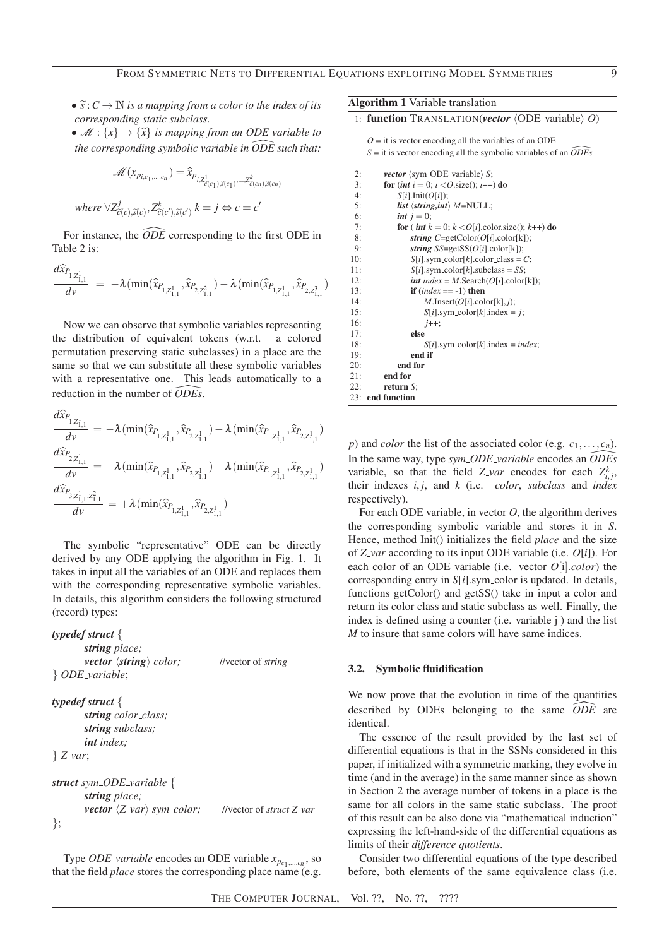- $\widetilde{s}: C \to \mathbb{N}$  *is a mapping from a color to the index of its corresponding static subclass.*
- $\mathcal{M}: \{x\} \rightarrow \{\hat{x}\}\$ is mapping from an ODE variable to *the corresponding symbolic variable in ODE such that:* [

$$
\mathcal{M}(x_{p_{i,c_1,\dots,c_n}}) = \widehat{x}_{p_{i,\mathbb{Z}_{c(c_1)},\widetilde{s(c_1)},\dots,\widetilde{s(c_n)},\widetilde{s(c_n)}}}
$$
  
where  $\forall \mathbb{Z}_{c(c),\widetilde{s(c)}^j, \mathbb{Z}_{c(c'),\widetilde{s(c')}^k}^k$   $k = j \Leftrightarrow c = c'$ 

For instance, the  $\widehat{ODE}$  corresponding to the first ODE in Table 2 is:

$$
\frac{d\widehat{x}_{P_{1,Z_{1,1}^1}}}{d\nu} = -\lambda (\min(\widehat{x}_{P_{1,Z_{1,1}^1}}, \widehat{x}_{P_{2,Z_{1,1}^2}}) - \lambda (\min(\widehat{x}_{P_{1,Z_{1,1}^1}}, \widehat{x}_{P_{2,Z_{1,1}^3}})
$$

Now we can observe that symbolic variables representing the distribution of equivalent tokens (w.r.t. a colored permutation preserving static subclasses) in a place are the same so that we can substitute all these symbolic variables with a representative one. This leads automatically to a reduction in the number of *ODEs* \.

$$
\begin{aligned} &\frac{d\widehat{x}_{P_{1,Z_{1,1}^1}}}{d\nu} = -\lambda\big(\min(\widehat{x}_{P_{1,Z_{1,1}^1}},\widehat{x}_{P_{2,Z_{1,1}^1}}) - \lambda\big(\min(\widehat{x}_{P_{1,Z_{1,1}^1}},\widehat{x}_{P_{2,Z_{1,1}^1}})\big) \\ &\frac{d\widehat{x}_{P_{2,Z_{1,1}^1}}}{d\nu} = -\lambda\big(\min(\widehat{x}_{P_{1,Z_{1,1}^1}},\widehat{x}_{P_{2,Z_{1,1}^1}}) - \lambda\big(\min(\widehat{x}_{P_{1,Z_{1,1}^1}},\widehat{x}_{P_{2,Z_{1,1}^1}})\big) \\ &\frac{d\widehat{x}_{P_{3,Z_{1,1}^1,Z_{1,1}^2}}}{d\nu} = +\lambda\big(\min(\widehat{x}_{P_{1,Z_{1,1}^1}},\widehat{x}_{P_{2,Z_{1,1}^1}})\big) \end{aligned}
$$

The symbolic "representative" ODE can be directly derived by any ODE applying the algorithm in Fig. 1. It takes in input all the variables of an ODE and replaces them with the corresponding representative symbolic variables. In details, this algorithm considers the following structured (record) types:

```
typedef struct {
```
*string place; vector*  $\langle$ *string* $\rangle$  *color;* //vector of *string* } *ODE variable*;

```
typedef struct {
       string color class;
       string subclass;
       int index;
} Z var;
```

```
struct sym ODE variable {
       string place;
        vector \langle Z_{var} \rangle sym_color; //vector of struct Z_var
};
```
Type *ODE variable* encodes an ODE variable *xpc*<sup>1</sup> ,...,*cn* , so that the field *place* stores the corresponding place name (e.g. Algorithm 1 Variable translation

## 1: **function** TRANSLATION(*vector*  $\langle$  ODE-variable $\rangle$  *O*)

 $O =$  it is vector encoding all the variables of an ODE  $S =$  it is vector encoding all the symbolic variables of an  $\widehat{ODEs}$ 2: *vector* (sym\_ODE\_variable) *S*; 3: **for**  $(int\ i = 0; \ i < O.\text{size}(); \ i++)$  do 4:  $S[i].Init(O[i]);$ 4:  $S[i].Init(O[i])$ ;<br>5: *list* (string.int 5: *list*  $\langle$ *string,int* $\rangle$  *M*=NULL;<br>6: *int*  $i = 0$ : 6:  $int j = 0;$ <br>7:  $for (int k)$ for ( *int*  $k = 0$ ;  $k < O[i]$ .color.size();  $k++$ ) do

```
8: string C = getColor(O[i].color[k]);9: string SS=getSS(O[i].color[k]);
10: S[i].sym\_color[k].color\_class = C;11: S[i].sym-color[k].subclass = SS;12: int index = M.Search(O[i].color[k]);
13: if (index == -1) then
14: M.Insert(O[i].color[k], j);
15: S[i].sym\_color[k].index = j;16: j++;
17: else
18: S[i].sym\_color[k].index = index;19: end if<br>20: end for
         end for
21: end for
22: return S;
23: end function
```
*p*) and *color* the list of the associated color (e.g.  $c_1, \ldots, c_n$ ). In the same way, type *sym ODE variable* encodes an *ODEs* \ variable, so that the field *Z*<sub>*var*</sub> encodes for each  $Z_{i,j}^k$ , their indexes  $i, j$ , and  $k$  (i.e. *color*, *subclass* and *index* respectively).

For each ODE variable, in vector *O*, the algorithm derives the corresponding symbolic variable and stores it in *S*. Hence, method Init() initializes the field *place* and the size of *Z var* according to its input ODE variable (i.e. *O*[*i*]). For each color of an ODE variable (i.e. vector *O*[i].*color*) the corresponding entry in *S*[*i*].sym\_color is updated. In details, functions getColor() and getSS() take in input a color and return its color class and static subclass as well. Finally, the index is defined using a counter (i.e. variable j ) and the list *M* to insure that same colors will have same indices.

#### 3.2. Symbolic fluidification

We now prove that the evolution in time of the quantities described by ODEs belonging to the same  $\widehat{ODE}$  are identical.

The essence of the result provided by the last set of differential equations is that in the SSNs considered in this paper, if initialized with a symmetric marking, they evolve in time (and in the average) in the same manner since as shown in Section 2 the average number of tokens in a place is the same for all colors in the same static subclass. The proof of this result can be also done via "mathematical induction" expressing the left-hand-side of the differential equations as limits of their *difference quotients*.

Consider two differential equations of the type described before, both elements of the same equivalence class (i.e.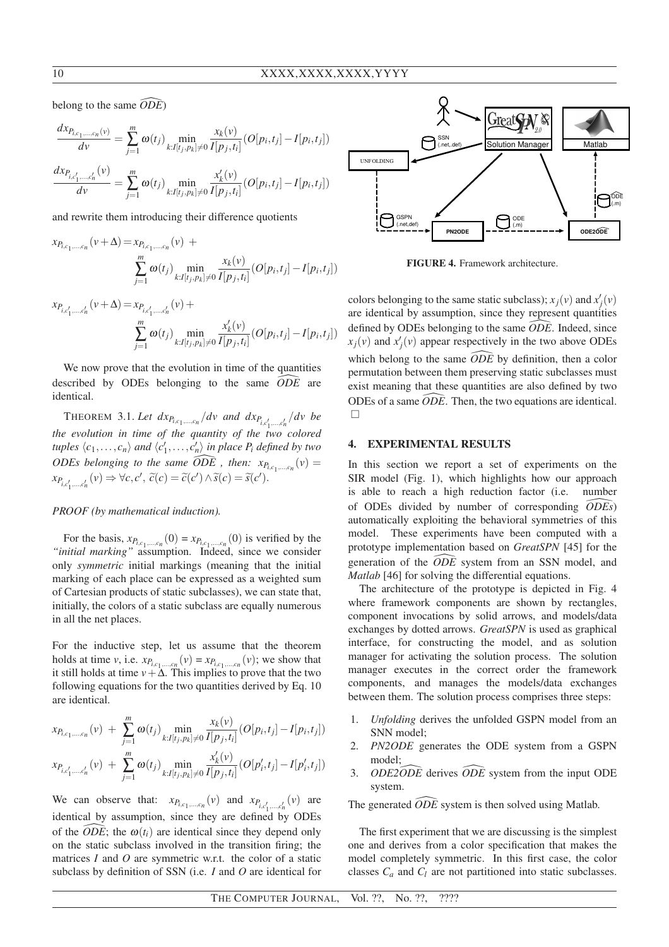belong to the same  $\widehat{ODE}$ )

$$
\frac{dx_{P_{i,c_1,...,c_n}(v)}}{dv} = \sum_{j=1}^m \omega(t_j) \min_{k:I[t_j,p_k]\neq 0} \frac{x_k(v)}{I[p_j,t_i]} (O[p_i,t_j]-I[p_i,t_j])
$$

$$
\frac{dx_{P_{i,c'_1,...,c'_n}(v)}}{dv} = \sum_{j=1}^m \omega(t_j) \min_{k:I[t_j,p_k]\neq 0} \frac{x'_k(v)}{I[p_j,t_i]} (O[p_i,t_j]-I[p_i,t_j])
$$

and rewrite them introducing their difference quotients

$$
x_{P_{i,c_1,...,c_n}}(v+\Delta) = x_{P_{i,c_1,...,c_n}}(v) + \sum_{j=1}^{m} \omega(t_j) \min_{k: I[t_j, p_k] \neq 0} \frac{x_k(v)}{I[p_j, t_i]} (O[p_i, t_j] - I[p_i, t_j])
$$

$$
x_{P_{i,c'_1,...,c'_n}}(\nu+\Delta) = x_{P_{i,c'_1,...,c'_n}}(\nu) + \sum_{j=1}^m \omega(t_j) \min_{k:I[t_j,p_k]\neq 0} \frac{x'_k(\nu)}{I[p_j,t_i]}(O[p_i,t_j]-I[p_i,t_j])
$$

We now prove that the evolution in time of the quantities described by ODEs belonging to the same  $\widehat{ODE}$  are identical.

THEOREM 3.1. Let  $dx_{P_{i,c_1,\ldots,c_n}}/dv$  and  $dx_{P_{i,c'_1,\ldots,c'_n}}/dv$  be 1 *the evolution in time of the quantity of the two colored tuples*  $\langle c_1, \ldots, c_n \rangle$  *and*  $\langle c'_1, \ldots, c'_n \rangle$  *in place P<sub>i</sub> defined by two ODEs belonging to the same*  $\widehat{ODE}$ *, then:*  $x_{P_{i,c_1,\dots,c_n}}(v) =$  $x_{P_{i,c'_1,\dots,c'_n}}(v) \Rightarrow \forall c, c', \ \tilde{c}(c) = \tilde{c}(c') \wedge \tilde{s}(c) = \tilde{s}(c').$ 

# *PROOF (by mathematical induction).*

For the basis,  $x_{P_{i,c_1,\dots,c_n}}(0) = x_{P_{i,c_1,\dots,c_n}}(0)$  is verified by the *"initial marking"* assumption. Indeed, since we consider only *symmetric* initial markings (meaning that the initial marking of each place can be expressed as a weighted sum of Cartesian products of static subclasses), we can state that, initially, the colors of a static subclass are equally numerous in all the net places.

For the inductive step, let us assume that the theorem holds at time *v*, i.e.  $x_{P_{i,c_1,\dots,c_n}}(v) = x_{P_{i,c_1,\dots,c_n}}(v)$ ; we show that it still holds at time  $v + \Delta$ . This implies to prove that the two following equations for the two quantities derived by Eq. 10 are identical.

$$
x_{P_{i,c_1,\dots,c_n}}(v) + \sum_{j=1}^m \omega(t_j) \min_{k:I[t_j,p_k]\neq 0} \frac{x_k(v)}{I[p_j,t_i]}(O[p_i,t_j]-I[p_i,t_j])
$$
  

$$
x_{P_{i,c'_1,\dots,c'_n}}(v) + \sum_{j=1}^m \omega(t_j) \min_{k:I[t_j,p_k]\neq 0} \frac{x'_k(v)}{I[p_j,t_i]}(O[p'_i,t_j]-I[p'_i,t_j])
$$

We can observe that:  $x_{P_{i,c_1,\dots,c_n}}(v)$  and  $x_{P_{i,c'_1,\dots,c'_n}}(v)$  are identical by assumption, since they are defined by ODEs of the  $\widehat{ODE}$ ; the  $\omega(t_i)$  are identical since they depend only on the static subclass involved in the transition firing; the matrices *I* and *O* are symmetric w.r.t. the color of a static subclass by definition of SSN (i.e. *I* and *O* are identical for



FIGURE 4. Framework architecture.

colors belonging to the same static subclass);  $x_j(v)$  and  $x'_j(v)$ are identical by assumption, since they represent quantities defined by ODEs belonging to the same  $\widehat{ODE}$ . Indeed, since  $x_j(v)$  and  $x'_j(v)$  appear respectively in the two above ODEs which belong to the same  $\widehat{ODE}$  by definition, then a color permutation between them preserving static subclasses must exist meaning that these quantities are also defined by two ODEs of a same  $\widehat{ODE}$ . Then, the two equations are identical.  $\Box$ 

#### 4. EXPERIMENTAL RESULTS

In this section we report a set of experiments on the SIR model (Fig. 1), which highlights how our approach is able to reach a high reduction factor (i.e. number of ODEs divided by number of corresponding *ODEs* \) automatically exploiting the behavioral symmetries of this model. These experiments have been computed with a prototype implementation based on *GreatSPN* [45] for the generation of the  $\widehat{ODE}$  system from an SSN model, and *Matlab* [46] for solving the differential equations.

The architecture of the prototype is depicted in Fig. 4 where framework components are shown by rectangles, component invocations by solid arrows, and models/data exchanges by dotted arrows. *GreatSPN* is used as graphical interface, for constructing the model, and as solution manager for activating the solution process. The solution manager executes in the correct order the framework components, and manages the models/data exchanges between them. The solution process comprises three steps:

- 1. *Unfolding* derives the unfolded GSPN model from an SNN model;
- 2. *PN2ODE* generates the ODE system from a GSPN model;
- 3. *ODE2ODE* derives *ODE* system from the input ODE system.

The generated  $\widehat{ODE}$  system is then solved using Matlab.

The first experiment that we are discussing is the simplest one and derives from a color specification that makes the model completely symmetric. In this first case, the color classes  $C_a$  and  $C_l$  are not partitioned into static subclasses.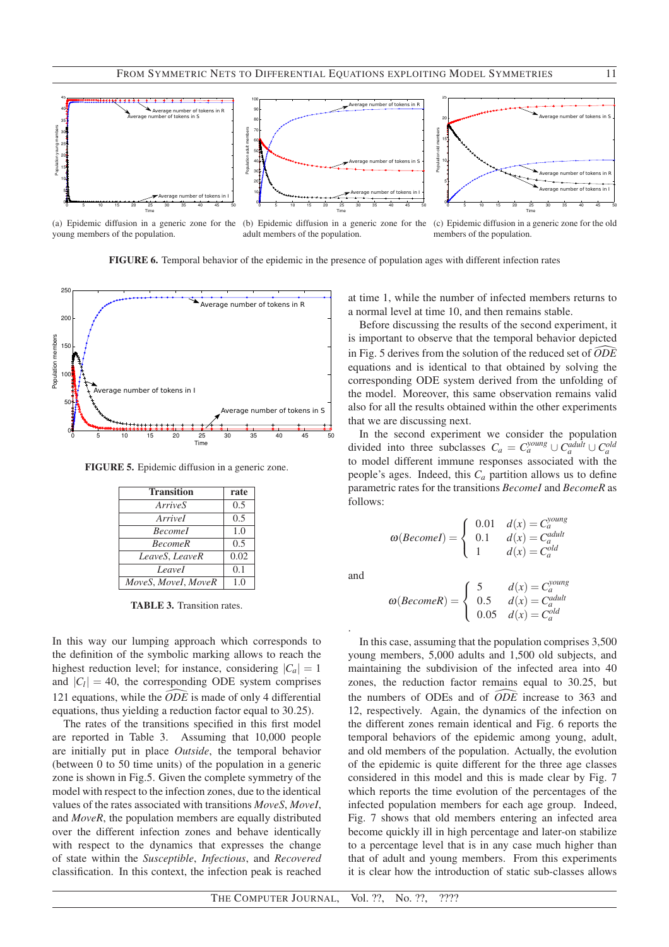

young members of the population.

(a) Epidemic diffusion in a generic zone for the (b) Epidemic diffusion in a generic zone for the (c) Epidemic diffusion in a generic zone for the old adult members of the population.

members of the population.

FIGURE 6. Temporal behavior of the epidemic in the presence of population ages with different infection rates



FIGURE 5. Epidemic diffusion in a generic zone.

| <b>Transition</b>   | rate |
|---------------------|------|
| ArriveS             | 0.5  |
| Arrivel             | 0.5  |
| <b>Becomel</b>      | 1.0  |
| <b>BecomeR</b>      | 0.5  |
| LeaveS, LeaveR      | 0.02 |
| Leavel              | 0.1  |
| MoveS, MoveI, MoveR | 1.0  |

TABLE 3. Transition rates.

In this way our lumping approach which corresponds to the definition of the symbolic marking allows to reach the highest reduction level; for instance, considering  $|C_a| = 1$ and  $|C_l| = 40$ , the corresponding ODE system comprises 121 equations, while the  $\widehat{ODE}$  is made of only 4 differential equations, thus yielding a reduction factor equal to 30.25).

The rates of the transitions specified in this first model are reported in Table 3. Assuming that 10,000 people are initially put in place *Outside*, the temporal behavior (between 0 to 50 time units) of the population in a generic zone is shown in Fig.5. Given the complete symmetry of the model with respect to the infection zones, due to the identical values of the rates associated with transitions *MoveS*, *MoveI*, and *MoveR*, the population members are equally distributed over the different infection zones and behave identically with respect to the dynamics that expresses the change of state within the *Susceptible*, *Infectious*, and *Recovered* classification. In this context, the infection peak is reached

at time 1, while the number of infected members returns to a normal level at time 10, and then remains stable.

Before discussing the results of the second experiment, it is important to observe that the temporal behavior depicted in Fig. 5 derives from the solution of the reduced set of  $\widehat{ODE}$ equations and is identical to that obtained by solving the corresponding ODE system derived from the unfolding of the model. Moreover, this same observation remains valid also for all the results obtained within the other experiments that we are discussing next.

In the second experiment we consider the population divided into three subclasses  $C_a = C_a^{young} \cup C_a^{adding} \cup C_a^{old}$ to model different immune responses associated with the people's ages. Indeed, this *C<sup>a</sup>* partition allows us to define parametric rates for the transitions *BecomeI* and *BecomeR* as follows:

$$
\omega(Becomel) = \begin{cases} 0.01 & d(x) = C_a^{\text{young}} \\ 0.1 & d(x) = C_a^{\text{adult}} \\ 1 & d(x) = C_a^{\text{old}} \end{cases}
$$

and

.

$$
\omega(BecomeR) = \begin{cases} 5 & d(x) = C_a^{young} \\ 0.5 & d(x) = C_a^{adult} \\ 0.05 & d(x) = C_a^{old} \end{cases}
$$

In this case, assuming that the population comprises 3,500 young members, 5,000 adults and 1,500 old subjects, and maintaining the subdivision of the infected area into 40 zones, the reduction factor remains equal to 30.25, but the numbers of ODEs and of  $\widehat{ODE}$  increase to 363 and 12, respectively. Again, the dynamics of the infection on the different zones remain identical and Fig. 6 reports the temporal behaviors of the epidemic among young, adult, and old members of the population. Actually, the evolution of the epidemic is quite different for the three age classes considered in this model and this is made clear by Fig. 7 which reports the time evolution of the percentages of the infected population members for each age group. Indeed, Fig. 7 shows that old members entering an infected area become quickly ill in high percentage and later-on stabilize to a percentage level that is in any case much higher than that of adult and young members. From this experiments it is clear how the introduction of static sub-classes allows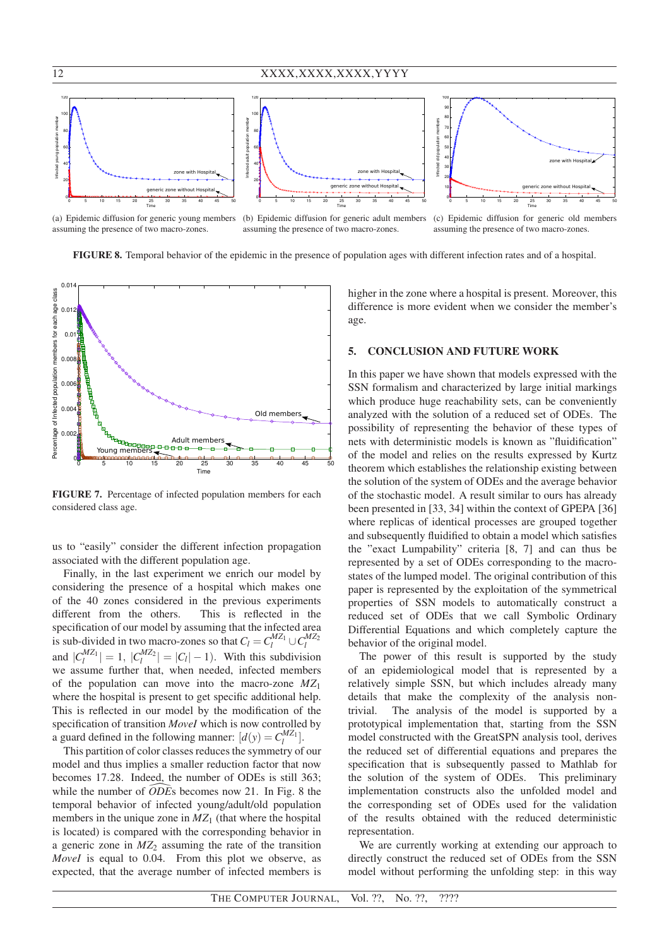

(a) Epidemic diffusion for generic young members assuming the presence of two macro-zones.

(b) Epidemic diffusion for generic adult members assuming the presence of two macro-zones.

(c) Epidemic diffusion for generic old members assuming the presence of two macro-zones.

FIGURE 8. Temporal behavior of the epidemic in the presence of population ages with different infection rates and of a hospital.



FIGURE 7. Percentage of infected population members for each considered class age.

us to "easily" consider the different infection propagation associated with the different population age.

Finally, in the last experiment we enrich our model by considering the presence of a hospital which makes one of the 40 zones considered in the previous experiments different from the others. This is reflected in the specification of our model by assuming that the infected area is sub-divided in two macro-zones so that  $C_l = C_l^{MZ_1} \cup C_l^{MZ_2}$ and  $|C_l^{MZ_1}| = 1$ ,  $|C_l^{MZ_2}| = |C_l| - 1$ ). With this subdivision we assume further that, when needed, infected members of the population can move into the macro-zone *MZ*<sup>1</sup> where the hospital is present to get specific additional help. This is reflected in our model by the modification of the specification of transition *MoveI* which is now controlled by a guard defined in the following manner:  $[d(y) = C_l^{MZ_1}]$ .

This partition of color classes reduces the symmetry of our model and thus implies a smaller reduction factor that now becomes 17.28. Indeed, the number of ODEs is still 363; while the number of  $\overline{ODE}$  is becomes now 21. In Fig. 8 the temporal behavior of infected young/adult/old population members in the unique zone in  $MZ<sub>1</sub>$  (that where the hospital is located) is compared with the corresponding behavior in a generic zone in  $MZ<sub>2</sub>$  assuming the rate of the transition *MoveI* is equal to 0.04. From this plot we observe, as expected, that the average number of infected members is

higher in the zone where a hospital is present. Moreover, this difference is more evident when we consider the member's age.

### 5. CONCLUSION AND FUTURE WORK

In this paper we have shown that models expressed with the SSN formalism and characterized by large initial markings which produce huge reachability sets, can be conveniently analyzed with the solution of a reduced set of ODEs. The possibility of representing the behavior of these types of nets with deterministic models is known as "fluidification" of the model and relies on the results expressed by Kurtz theorem which establishes the relationship existing between the solution of the system of ODEs and the average behavior of the stochastic model. A result similar to ours has already been presented in [33, 34] within the context of GPEPA [36] where replicas of identical processes are grouped together and subsequently fluidified to obtain a model which satisfies the "exact Lumpability" criteria [8, 7] and can thus be represented by a set of ODEs corresponding to the macrostates of the lumped model. The original contribution of this paper is represented by the exploitation of the symmetrical properties of SSN models to automatically construct a reduced set of ODEs that we call Symbolic Ordinary Differential Equations and which completely capture the behavior of the original model.

The power of this result is supported by the study of an epidemiological model that is represented by a relatively simple SSN, but which includes already many details that make the complexity of the analysis nontrivial. The analysis of the model is supported by a prototypical implementation that, starting from the SSN model constructed with the GreatSPN analysis tool, derives the reduced set of differential equations and prepares the specification that is subsequently passed to Mathlab for the solution of the system of ODEs. This preliminary implementation constructs also the unfolded model and the corresponding set of ODEs used for the validation of the results obtained with the reduced deterministic representation.

We are currently working at extending our approach to directly construct the reduced set of ODEs from the SSN model without performing the unfolding step: in this way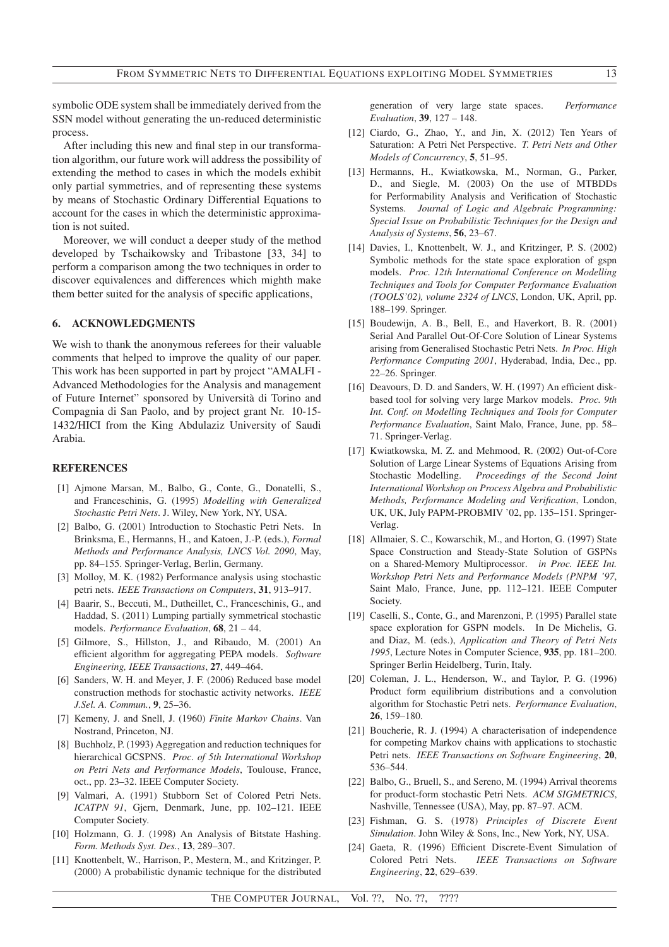symbolic ODE system shall be immediately derived from the SSN model without generating the un-reduced deterministic process.

After including this new and final step in our transformation algorithm, our future work will address the possibility of extending the method to cases in which the models exhibit only partial symmetries, and of representing these systems by means of Stochastic Ordinary Differential Equations to account for the cases in which the deterministic approximation is not suited.

Moreover, we will conduct a deeper study of the method developed by Tschaikowsky and Tribastone [33, 34] to perform a comparison among the two techniques in order to discover equivalences and differences which mighth make them better suited for the analysis of specific applications,

#### 6. ACKNOWLEDGMENTS

We wish to thank the anonymous referees for their valuable comments that helped to improve the quality of our paper. This work has been supported in part by project "AMALFI - Advanced Methodologies for the Analysis and management of Future Internet" sponsored by Universita di Torino and ` Compagnia di San Paolo, and by project grant Nr. 10-15- 1432/HICI from the King Abdulaziz University of Saudi Arabia.

#### **REFERENCES**

- [1] Ajmone Marsan, M., Balbo, G., Conte, G., Donatelli, S., and Franceschinis, G. (1995) *Modelling with Generalized Stochastic Petri Nets*. J. Wiley, New York, NY, USA.
- [2] Balbo, G. (2001) Introduction to Stochastic Petri Nets. In Brinksma, E., Hermanns, H., and Katoen, J.-P. (eds.), *Formal Methods and Performance Analysis, LNCS Vol. 2090*, May, pp. 84–155. Springer-Verlag, Berlin, Germany.
- [3] Molloy, M. K. (1982) Performance analysis using stochastic petri nets. *IEEE Transactions on Computers*, 31, 913–917.
- [4] Baarir, S., Beccuti, M., Dutheillet, C., Franceschinis, G., and Haddad, S. (2011) Lumping partially symmetrical stochastic models. *Performance Evaluation*, 68, 21 – 44.
- [5] Gilmore, S., Hillston, J., and Ribaudo, M. (2001) An efficient algorithm for aggregating PEPA models. *Software Engineering, IEEE Transactions*, 27, 449–464.
- [6] Sanders, W. H. and Meyer, J. F. (2006) Reduced base model construction methods for stochastic activity networks. *IEEE J.Sel. A. Commun.*, 9, 25–36.
- [7] Kemeny, J. and Snell, J. (1960) *Finite Markov Chains*. Van Nostrand, Princeton, NJ.
- [8] Buchholz, P. (1993) Aggregation and reduction techniques for hierarchical GCSPNS. *Proc. of 5th International Workshop on Petri Nets and Performance Models*, Toulouse, France, oct., pp. 23–32. IEEE Computer Society.
- [9] Valmari, A. (1991) Stubborn Set of Colored Petri Nets. *ICATPN 91*, Gjern, Denmark, June, pp. 102–121. IEEE Computer Society.
- [10] Holzmann, G. J. (1998) An Analysis of Bitstate Hashing. *Form. Methods Syst. Des.*, 13, 289–307.
- [11] Knottenbelt, W., Harrison, P., Mestern, M., and Kritzinger, P. (2000) A probabilistic dynamic technique for the distributed

generation of very large state spaces. *Performance Evaluation*, 39, 127 – 148.

- [12] Ciardo, G., Zhao, Y., and Jin, X. (2012) Ten Years of Saturation: A Petri Net Perspective. *T. Petri Nets and Other Models of Concurrency*, 5, 51–95.
- [13] Hermanns, H., Kwiatkowska, M., Norman, G., Parker, D., and Siegle, M. (2003) On the use of MTBDDs for Performability Analysis and Verification of Stochastic Systems. *Journal of Logic and Algebraic Programming: Special Issue on Probabilistic Techniques for the Design and Analysis of Systems*, 56, 23–67.
- [14] Davies, I., Knottenbelt, W. J., and Kritzinger, P. S. (2002) Symbolic methods for the state space exploration of gspn models. *Proc. 12th International Conference on Modelling Techniques and Tools for Computer Performance Evaluation (TOOLS'02), volume 2324 of LNCS*, London, UK, April, pp. 188–199. Springer.
- [15] Boudewijn, A. B., Bell, E., and Haverkort, B. R. (2001) Serial And Parallel Out-Of-Core Solution of Linear Systems arising from Generalised Stochastic Petri Nets. *In Proc. High Performance Computing 2001*, Hyderabad, India, Dec., pp. 22–26. Springer.
- [16] Deavours, D. D. and Sanders, W. H. (1997) An efficient diskbased tool for solving very large Markov models. *Proc. 9th Int. Conf. on Modelling Techniques and Tools for Computer Performance Evaluation*, Saint Malo, France, June, pp. 58– 71. Springer-Verlag.
- [17] Kwiatkowska, M. Z. and Mehmood, R. (2002) Out-of-Core Solution of Large Linear Systems of Equations Arising from Stochastic Modelling. *Proceedings of the Second Joint International Workshop on Process Algebra and Probabilistic Methods, Performance Modeling and Verification*, London, UK, UK, July PAPM-PROBMIV '02, pp. 135–151. Springer-Verlag.
- [18] Allmaier, S. C., Kowarschik, M., and Horton, G. (1997) State Space Construction and Steady-State Solution of GSPNs on a Shared-Memory Multiprocessor. *in Proc. IEEE Int. Workshop Petri Nets and Performance Models (PNPM '97*, Saint Malo, France, June, pp. 112–121. IEEE Computer Society.
- [19] Caselli, S., Conte, G., and Marenzoni, P. (1995) Parallel state space exploration for GSPN models. In De Michelis, G. and Diaz, M. (eds.), *Application and Theory of Petri Nets 1995*, Lecture Notes in Computer Science, 935, pp. 181–200. Springer Berlin Heidelberg, Turin, Italy.
- [20] Coleman, J. L., Henderson, W., and Taylor, P. G. (1996) Product form equilibrium distributions and a convolution algorithm for Stochastic Petri nets. *Performance Evaluation*, 26, 159–180.
- [21] Boucherie, R. J. (1994) A characterisation of independence for competing Markov chains with applications to stochastic Petri nets. *IEEE Transactions on Software Engineering*, 20, 536–544.
- [22] Balbo, G., Bruell, S., and Sereno, M. (1994) Arrival theorems for product-form stochastic Petri Nets. *ACM SIGMETRICS*, Nashville, Tennessee (USA), May, pp. 87–97. ACM.
- [23] Fishman, G. S. (1978) *Principles of Discrete Event Simulation*. John Wiley & Sons, Inc., New York, NY, USA.
- [24] Gaeta, R. (1996) Efficient Discrete-Event Simulation of Colored Petri Nets. *IEEE Transactions on Software Engineering*, 22, 629–639.